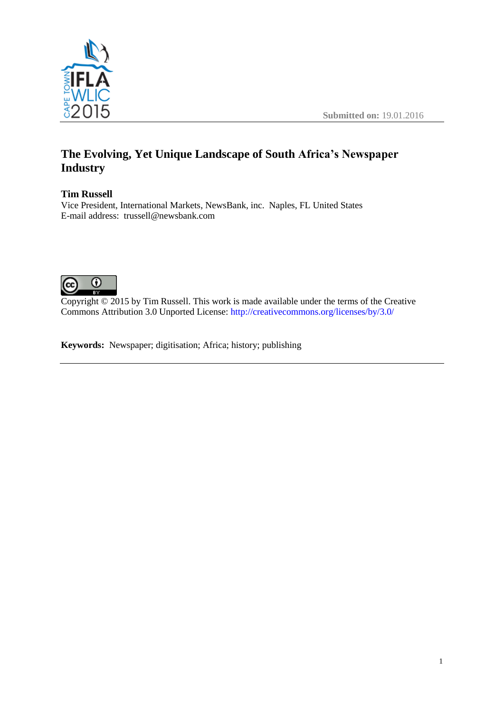



# **The Evolving, Yet Unique Landscape of South Africa's Newspaper Industry**

## **Tim Russell**

Vice President, International Markets, NewsBank, inc. Naples, FL United States E-mail address: trussell@newsbank.com



Copyright  $\odot$  2015 by Tim Russell. This work is made available under the terms of the Creative Commons Attribution 3.0 Unported License: <http://creativecommons.org/licenses/by/3.0/>

**Keywords:** Newspaper; digitisation; Africa; history; publishing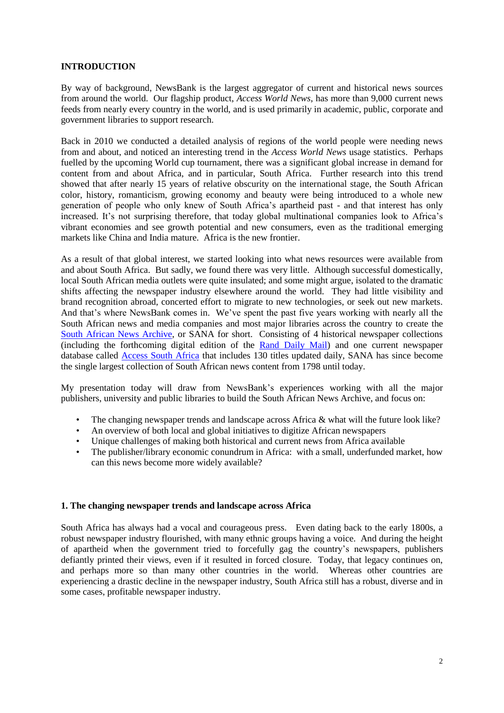#### **INTRODUCTION**

By way of background, NewsBank is the largest aggregator of current and historical news sources from around the world. Our flagship product, *Access World News*, has more than 9,000 current news feeds from nearly every country in the world, and is used primarily in academic, public, corporate and government libraries to support research.

Back in 2010 we conducted a detailed analysis of regions of the world people were needing news from and about, and noticed an interesting trend in the *Access World News* usage statistics. Perhaps fuelled by the upcoming World cup tournament, there was a significant global increase in demand for content from and about Africa, and in particular, South Africa. Further research into this trend showed that after nearly 15 years of relative obscurity on the international stage, the South African color, history, romanticism, growing economy and beauty were being introduced to a whole new generation of people who only knew of South Africa's apartheid past - and that interest has only increased. It's not surprising therefore, that today global multinational companies look to Africa's vibrant economies and see growth potential and new consumers, even as the traditional emerging markets like China and India mature. Africa is the new frontier.

As a result of that global interest, we started looking into what news resources were available from and about South Africa. But sadly, we found there was very little. Although successful domestically, local South African media outlets were quite insulated; and some might argue, isolated to the dramatic shifts affecting the newspaper industry elsewhere around the world. They had little visibility and brand recognition abroad, concerted effort to migrate to new technologies, or seek out new markets. And that's where NewsBank comes in. We've spent the past five years working with nearly all the South African news and media companies and most major libraries across the country to create the [South African News Archive,](http://www.newsbank.com/libraries/colleges-universities/solutions/international-regions/south-african-news-archive) or SANA for short. Consisting of 4 historical newspaper collections (including the forthcoming digital edition of the [Rand Daily Mail\)](http://www.newsbank.com/libraries/colleges-universities/solutions/international-regions/rand-daily-mail-archive-1902-1985) and one current newspaper database called [Access South Africa](http://www.newsbank.com/libraries/solutions/access-south-africa) that includes 130 titles updated daily, SANA has since become the single largest collection of South African news content from 1798 until today.

My presentation today will draw from NewsBank's experiences working with all the major publishers, university and public libraries to build the South African News Archive, and focus on:

- The changing newspaper trends and landscape across Africa & what will the future look like?
- An overview of both local and global initiatives to digitize African newspapers
- Unique challenges of making both historical and current news from Africa available
- The publisher/library economic conundrum in Africa: with a small, underfunded market, how can this news become more widely available?

#### **1. The changing newspaper trends and landscape across Africa**

South Africa has always had a vocal and courageous press. Even dating back to the early 1800s, a robust newspaper industry flourished, with many ethnic groups having a voice. And during the height of apartheid when the government tried to forcefully gag the country's newspapers, publishers defiantly printed their views, even if it resulted in forced closure. Today, that legacy continues on, and perhaps more so than many other countries in the world. Whereas other countries are experiencing a drastic decline in the newspaper industry, South Africa still has a robust, diverse and in some cases, profitable newspaper industry.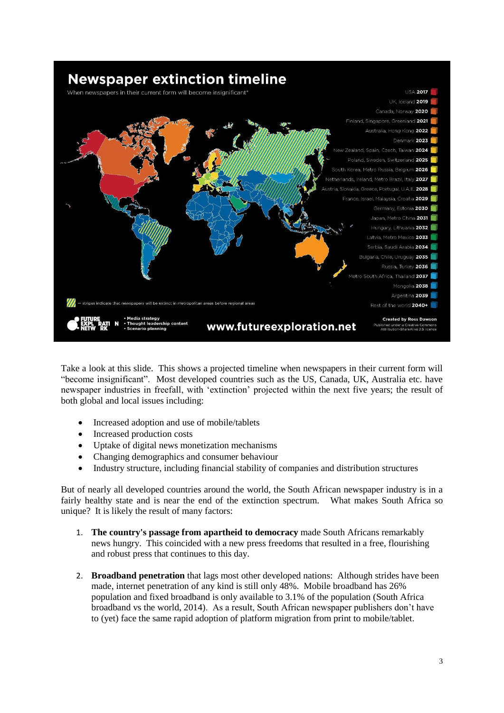

Take a look at this slide. This shows a projected timeline when newspapers in their current form will "become insignificant". Most developed countries such as the US, Canada, UK, Australia etc. have newspaper industries in freefall, with 'extinction' projected within the next five years; the result of both global and local issues including:

- Increased adoption and use of mobile/tablets
- Increased production costs
- Uptake of digital news monetization mechanisms
- Changing demographics and consumer behaviour
- Industry structure, including financial stability of companies and distribution structures

But of nearly all developed countries around the world, the South African newspaper industry is in a fairly healthy state and is near the end of the extinction spectrum. What makes South Africa so unique? It is likely the result of many factors:

- 1. **The country's passage from apartheid to democracy** made South Africans remarkably news hungry. This coincided with a new press freedoms that resulted in a free, flourishing and robust press that continues to this day.
- 2. **Broadband penetration** that lags most other developed nations: Although strides have been made, internet penetration of any kind is still only 48%. Mobile broadband has 26% population and fixed broadband is only available to 3.1% of the population (South Africa broadband vs the world, 2014). As a result, South African newspaper publishers don't have to (yet) face the same rapid adoption of platform migration from print to mobile/tablet.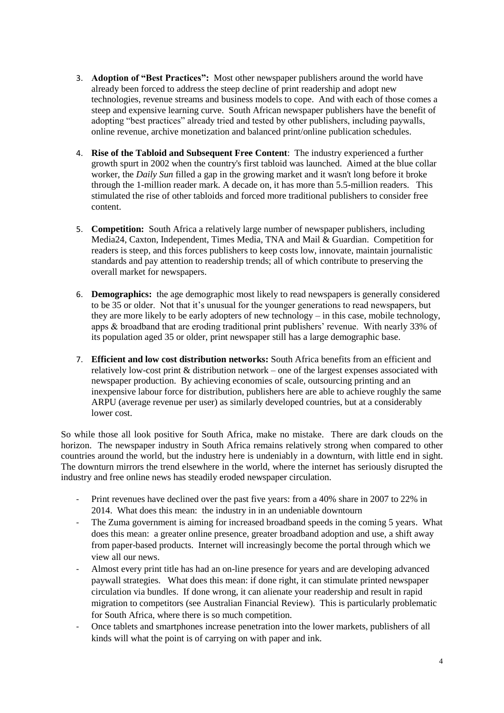- 3. **Adoption of "Best Practices":** Most other newspaper publishers around the world have already been forced to address the steep decline of print readership and adopt new technologies, revenue streams and business models to cope. And with each of those comes a steep and expensive learning curve. South African newspaper publishers have the benefit of adopting "best practices" already tried and tested by other publishers, including paywalls, online revenue, archive monetization and balanced print/online publication schedules.
- 4. **Rise of the Tabloid and Subsequent Free Content**: The industry experienced a further growth spurt in 2002 when the country's first tabloid was launched. Aimed at the blue collar worker, the *Daily Sun* filled a gap in the growing market and it wasn't long before it broke through the 1-million reader mark. A decade on, it has more than 5.5-million readers. This stimulated the rise of other tabloids and forced more traditional publishers to consider free content.
- 5. **Competition:** South Africa a relatively large number of newspaper publishers, including Media24, Caxton, Independent, Times Media, TNA and Mail & Guardian. Competition for readers is steep, and this forces publishers to keep costs low, innovate, maintain journalistic standards and pay attention to readership trends; all of which contribute to preserving the overall market for newspapers.
- 6. **Demographics:** the age demographic most likely to read newspapers is generally considered to be 35 or older. Not that it's unusual for the younger generations to read newspapers, but they are more likely to be early adopters of new technology – in this case, mobile technology, apps & broadband that are eroding traditional print publishers' revenue. With nearly 33% of its population aged 35 or older, print newspaper still has a large demographic base.
- 7. **Efficient and low cost distribution networks:** South Africa benefits from an efficient and relatively low-cost print & distribution network – one of the largest expenses associated with newspaper production. By achieving economies of scale, outsourcing printing and an inexpensive labour force for distribution, publishers here are able to achieve roughly the same ARPU (average revenue per user) as similarly developed countries, but at a considerably lower cost.

So while those all look positive for South Africa, make no mistake. There are dark clouds on the horizon. The newspaper industry in South Africa remains relatively strong when compared to other countries around the world, but the industry here is undeniably in a downturn, with little end in sight. The downturn mirrors the trend elsewhere in the world, where the internet has seriously disrupted the industry and free online news has steadily eroded newspaper circulation.

- Print revenues have declined over the past five years: from a 40% share in 2007 to 22% in 2014. What does this mean: the industry in in an undeniable downtourn
- The Zuma government is aiming for increased broadband speeds in the coming 5 years. What does this mean: a greater online presence, greater broadband adoption and use, a shift away from paper-based products. Internet will increasingly become the portal through which we view all our news.
- Almost every print title has had an on-line presence for years and are developing advanced paywall strategies. What does this mean: if done right, it can stimulate printed newspaper circulation via bundles. If done wrong, it can alienate your readership and result in rapid migration to competitors (see Australian Financial Review). This is particularly problematic for South Africa, where there is so much competition.
- Once tablets and smartphones increase penetration into the lower markets, publishers of all kinds will what the point is of carrying on with paper and ink.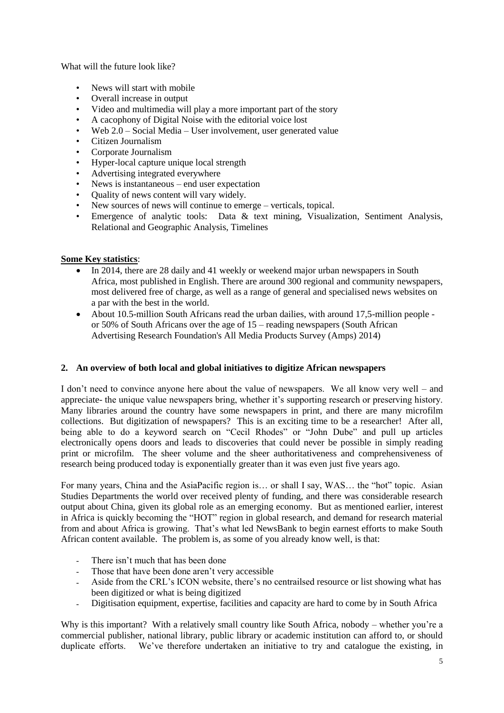What will the future look like?

- News will start with mobile
- Overall increase in output
- Video and multimedia will play a more important part of the story
- A cacophony of Digital Noise with the editorial voice lost
- Web 2.0 Social Media User involvement, user generated value
- Citizen Journalism
- Corporate Journalism
- Hyper-local capture unique local strength
- Advertising integrated everywhere
- News is instantaneous end user expectation
- Quality of news content will vary widely.
- New sources of news will continue to emerge verticals, topical.
- Emergence of analytic tools: Data & text mining, Visualization, Sentiment Analysis, Relational and Geographic Analysis, Timelines

#### **Some Key statistics**:

- In 2014, there are 28 daily and 41 weekly or weekend major urban newspapers in South Africa, most published in English. There are around 300 regional and community newspapers, most delivered free of charge, as well as a range of general and specialised news websites on a par with the best in the world.
- About 10.5-million South Africans read the urban dailies, with around 17,5-million people or 50% of South Africans over the age of 15 – reading newspapers (South African Advertising Research Foundation's All Media Products Survey (Amps) 2014)

#### **2. An overview of both local and global initiatives to digitize African newspapers**

I don't need to convince anyone here about the value of newspapers. We all know very well – and appreciate- the unique value newspapers bring, whether it's supporting research or preserving history. Many libraries around the country have some newspapers in print, and there are many microfilm collections. But digitization of newspapers? This is an exciting time to be a researcher! After all, being able to do a keyword search on "Cecil Rhodes" or "John Dube" and pull up articles electronically opens doors and leads to discoveries that could never be possible in simply reading print or microfilm. The sheer volume and the sheer authoritativeness and comprehensiveness of research being produced today is exponentially greater than it was even just five years ago.

For many years, China and the AsiaPacific region is… or shall I say, WAS… the "hot" topic. Asian Studies Departments the world over received plenty of funding, and there was considerable research output about China, given its global role as an emerging economy. But as mentioned earlier, interest in Africa is quickly becoming the "HOT" region in global research, and demand for research material from and about Africa is growing. That's what led NewsBank to begin earnest efforts to make South African content available. The problem is, as some of you already know well, is that:

- There isn't much that has been done
- Those that have been done aren't very accessible
- Aside from the CRL's ICON website, there's no centrailsed resource or list showing what has been digitized or what is being digitized
- Digitisation equipment, expertise, facilities and capacity are hard to come by in South Africa

Why is this important? With a relatively small country like South Africa, nobody – whether you're a commercial publisher, national library, public library or academic institution can afford to, or should duplicate efforts. We've therefore undertaken an initiative to try and catalogue the existing, in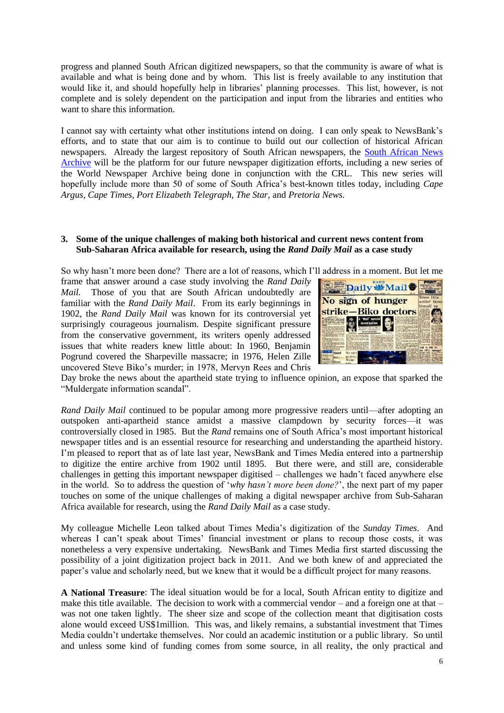progress and planned South African digitized newspapers, so that the community is aware of what is available and what is being done and by whom. This list is freely available to any institution that would like it, and should hopefully help in libraries' planning processes. This list, however, is not complete and is solely dependent on the participation and input from the libraries and entities who want to share this information

I cannot say with certainty what other institutions intend on doing. I can only speak to NewsBank's efforts, and to state that our aim is to continue to build out our collection of historical African newspapers. Already the largest repository of South African newspapers, the [South African News](http://www.newsbank.com/libraries/colleges-universities/solutions/international-regions/south-african-news-archive)  [Archive](http://www.newsbank.com/libraries/colleges-universities/solutions/international-regions/south-african-news-archive) will be the platform for our future newspaper digitization efforts, including a new series of the World Newspaper Archive being done in conjunction with the CRL. This new series will hopefully include more than 50 of some of South Africa's best-known titles today, including *Cape Argus, Cape Times, Port Elizabeth Telegraph, The Star,* and *Pretoria News.*

#### **3. Some of the unique challenges of making both historical and current news content from Sub-Saharan Africa available for research, using the** *Rand Daily Mail* **as a case study**

So why hasn't more been done? There are a lot of reasons, which I'll address in a moment. But let me

frame that answer around a case study involving the *Rand Daily Mail.* Those of you that are South African undoubtedly are familiar with the *Rand Daily Mail*. From its early beginnings in 1902, the *Rand Daily Mail* was known for its controversial yet surprisingly courageous journalism. Despite significant pressure from the conservative government, its writers openly addressed issues that white readers knew little about: In 1960, Benjamin Pogrund covered the Sharpeville massacre; in 1976, Helen Zille uncovered Steve Biko's murder; in 1978, Mervyn Rees and Chris



Day broke the news about the apartheid state trying to influence opinion, an expose that sparked the "Muldergate information scandal".

*Rand Daily Mail* continued to be popular among more progressive readers until—after adopting an outspoken anti-apartheid stance amidst a massive clampdown by security forces—it was controversially closed in 1985. But the *Rand* remains one of South Africa's most important historical newspaper titles and is an essential resource for researching and understanding the apartheid history. I'm pleased to report that as of late last year, NewsBank and Times Media entered into a partnership to digitize the entire archive from 1902 until 1895. But there were, and still are, considerable challenges in getting this important newspaper digitised – challenges we hadn't faced anywhere else in the world. So to address the question of '*why hasn't more been done?*', the next part of my paper touches on some of the unique challenges of making a digital newspaper archive from Sub-Saharan Africa available for research, using the *Rand Daily Mail* as a case study.

My colleague Michelle Leon talked about Times Media's digitization of the *Sunday Times*. And whereas I can't speak about Times' financial investment or plans to recoup those costs, it was nonetheless a very expensive undertaking. NewsBank and Times Media first started discussing the possibility of a joint digitization project back in 2011. And we both knew of and appreciated the paper's value and scholarly need, but we knew that it would be a difficult project for many reasons.

**A National Treasure**: The ideal situation would be for a local, South African entity to digitize and make this title available. The decision to work with a commercial vendor – and a foreign one at that – was not one taken lightly. The sheer size and scope of the collection meant that digitisation costs alone would exceed US\$1million. This was, and likely remains, a substantial investment that Times Media couldn't undertake themselves. Nor could an academic institution or a public library. So until and unless some kind of funding comes from some source, in all reality, the only practical and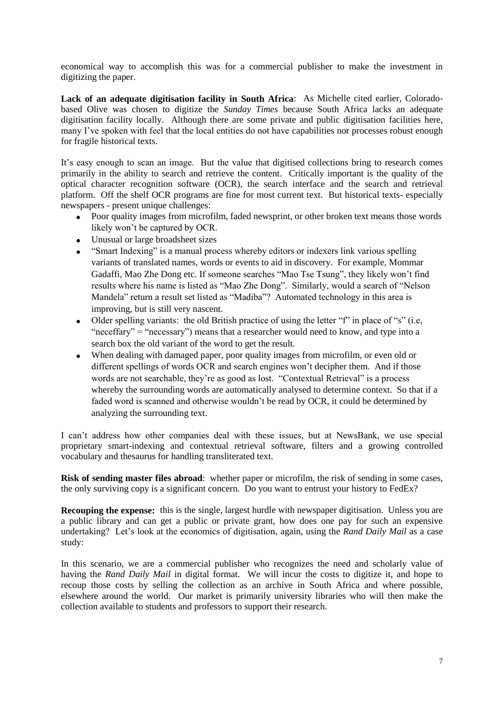economical way to accomplish this was for a commercial publisher to make the investment in digitizing the paper.

**Lack of an adequate digitisation facility in South Africa**: As Michelle cited earlier, Coloradobased Olive was chosen to digitize the *Sunday Times* because South Africa lacks an adequate digitisation facility locally. Although there are some private and public digitisation facilities here, many I've spoken with feel that the local entities do not have capabilities nor processes robust enough for fragile historical texts.

It's easy enough to scan an image. But the value that digitised collections bring to research comes primarily in the ability to search and retrieve the content. Critically important is the quality of the optical character recognition software (OCR), the search interface and the search and retrieval platform. Off the shelf OCR programs are fine for most current text. But historical texts- especially newspapers - present unique challenges:

- Poor quality images from microfilm, faded newsprint, or other broken text means those words likely won't be captured by OCR.
- Unusual or large broadsheet sizes
- "Smart Indexing" is a manual process whereby editors or indexers link various spelling variants of translated names, words or events to aid in discovery. For example, Mommar Gadaffi, Mao Zhe Dong etc. If someone searches "Mao Tse Tsung", they likely won't find results where his name is listed as "Mao Zhe Dong". Similarly, would a search of "Nelson Mandela" return a result set listed as "Madiba"? Automated technology in this area is improving, but is still very nascent.
- Older spelling variants: the old British practice of using the letter " $f$ " in place of "s" (i.e. "neceffary" = "necessary") means that a researcher would need to know, and type into a search box the old variant of the word to get the result.
- When dealing with damaged paper, poor quality images from microfilm, or even old or different spellings of words OCR and search engines won't decipher them. And if those words are not searchable, they're as good as lost. "Contextual Retrieval" is a process whereby the surrounding words are automatically analysed to determine context. So that if a faded word is scanned and otherwise wouldn't be read by OCR, it could be determined by analyzing the surrounding text.

I can't address how other companies deal with these issues, but at NewsBank, we use special proprietary smart-indexing and contextual retrieval software, filters and a growing controlled vocabulary and thesaurus for handling transliterated text.

**Risk of sending master files abroad**: whether paper or microfilm, the risk of sending in some cases, the only surviving copy is a significant concern. Do you want to entrust your history to FedEx?

**Recouping the expense:** this is the single, largest hurdle with newspaper digitisation. Unless you are a public library and can get a public or private grant, how does one pay for such an expensive undertaking? Let's look at the economics of digitisation, again, using the *Rand Daily Mail* as a case study:

In this scenario, we are a commercial publisher who recognizes the need and scholarly value of having the *Rand Daily Mail* in digital format. We will incur the costs to digitize it, and hope to recoup those costs by selling the collection as an archive in South Africa and where possible, elsewhere around the world. Our market is primarily university libraries who will then make the collection available to students and professors to support their research.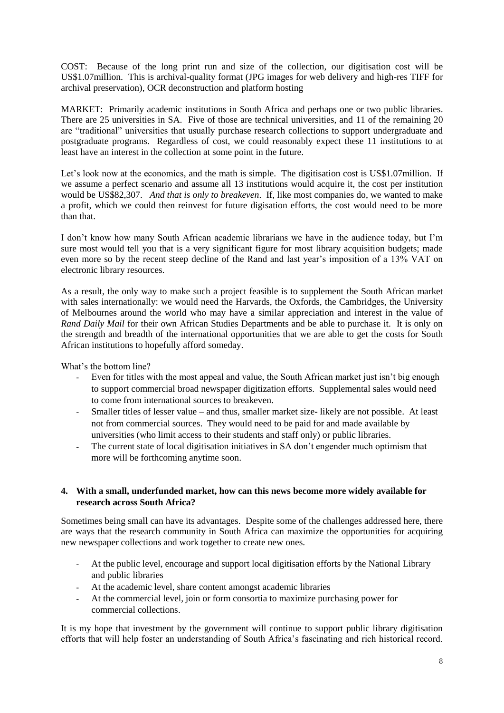COST: Because of the long print run and size of the collection, our digitisation cost will be US\$1.07million. This is archival-quality format (JPG images for web delivery and high-res TIFF for archival preservation), OCR deconstruction and platform hosting

MARKET: Primarily academic institutions in South Africa and perhaps one or two public libraries. There are 25 universities in SA. Five of those are technical universities, and 11 of the remaining 20 are "traditional" universities that usually purchase research collections to support undergraduate and postgraduate programs. Regardless of cost, we could reasonably expect these 11 institutions to at least have an interest in the collection at some point in the future.

Let's look now at the economics, and the math is simple. The digitisation cost is US\$1.07 million. If we assume a perfect scenario and assume all 13 institutions would acquire it, the cost per institution would be US\$82,307. *And that is only to breakeven*. If, like most companies do, we wanted to make a profit, which we could then reinvest for future digisation efforts, the cost would need to be more than that.

I don't know how many South African academic librarians we have in the audience today, but I'm sure most would tell you that is a very significant figure for most library acquisition budgets; made even more so by the recent steep decline of the Rand and last year's imposition of a 13% VAT on electronic library resources.

As a result, the only way to make such a project feasible is to supplement the South African market with sales internationally: we would need the Harvards, the Oxfords, the Cambridges, the University of Melbournes around the world who may have a similar appreciation and interest in the value of *Rand Daily Mail* for their own African Studies Departments and be able to purchase it. It is only on the strength and breadth of the international opportunities that we are able to get the costs for South African institutions to hopefully afford someday.

What's the bottom line?

- Even for titles with the most appeal and value, the South African market just isn't big enough to support commercial broad newspaper digitization efforts. Supplemental sales would need to come from international sources to breakeven.
- Smaller titles of lesser value and thus, smaller market size-likely are not possible. At least not from commercial sources. They would need to be paid for and made available by universities (who limit access to their students and staff only) or public libraries.
- The current state of local digitisation initiatives in SA don't engender much optimism that more will be forthcoming anytime soon.

### **4. With a small, underfunded market, how can this news become more widely available for research across South Africa?**

Sometimes being small can have its advantages. Despite some of the challenges addressed here, there are ways that the research community in South Africa can maximize the opportunities for acquiring new newspaper collections and work together to create new ones.

- At the public level, encourage and support local digitisation efforts by the National Library and public libraries
- At the academic level, share content amongst academic libraries
- At the commercial level, join or form consortia to maximize purchasing power for commercial collections.

It is my hope that investment by the government will continue to support public library digitisation efforts that will help foster an understanding of South Africa's fascinating and rich historical record.